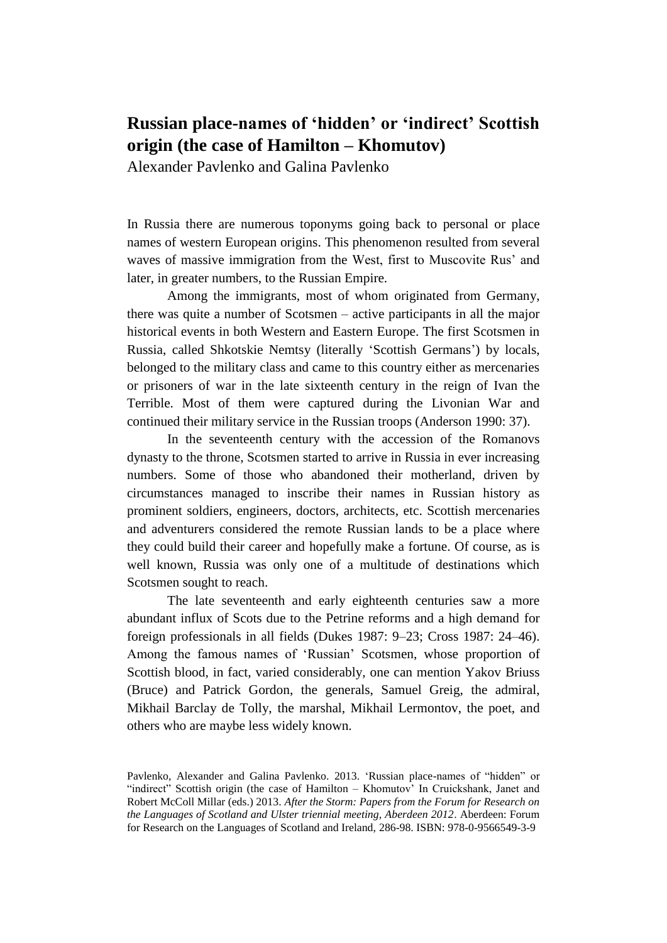## **Russian place-names of 'hidden' or 'indirect' Scottish origin (the case of Hamilton – Khomutov)**

Alexander Pavlenko and Galina Pavlenko

In Russia there are numerous toponyms going back to personal or place names of western European origins. This phenomenon resulted from several waves of massive immigration from the West, first to Muscovite Rus' and later, in greater numbers, to the Russian Empire.

Among the immigrants, most of whom originated from Germany, there was quite a number of Scotsmen – active participants in all the major historical events in both Western and Eastern Europe. The first Scotsmen in Russia, called Shkotskie Nemtsy (literally 'Scottish Germans') by locals, belonged to the military class and came to this country either as mercenaries or prisoners of war in the late sixteenth century in the reign of Ivan the Terrible. Most of them were captured during the Livonian War and continued their military service in the Russian troops (Anderson 1990: 37).

In the seventeenth century with the accession of the Romanovs dynasty to the throne, Scotsmen started to arrive in Russia in ever increasing numbers. Some of those who abandoned their motherland, driven by circumstances managed to inscribe their names in Russian history as prominent soldiers, engineers, doctors, architects, etc. Scottish mercenaries and adventurers considered the remote Russian lands to be a place where they could build their career and hopefully make a fortune. Of course, as is well known, Russia was only one of a multitude of destinations which Scotsmen sought to reach.

The late seventeenth and early eighteenth centuries saw a more abundant influx of Scots due to the Petrine reforms and a high demand for foreign professionals in all fields (Dukes 1987: 9–23; Cross 1987: 24–46). Among the famous names of 'Russian' Scotsmen, whose proportion of Scottish blood, in fact, varied considerably, one can mention Yakov Briuss (Bruce) and Patrick Gordon, the generals, Samuel Greig, the admiral, Mikhail Barclay de Tolly, the marshal, Mikhail Lermontov, the poet, and others who are maybe less widely known.

Pavlenko, Alexander and Galina Pavlenko. 2013. 'Russian place-names of "hidden" or "indirect" Scottish origin (the case of Hamilton – Khomutov' In Cruickshank, Janet and Robert McColl Millar (eds.) 2013. *After the Storm: Papers from the Forum for Research on the Languages of Scotland and Ulster triennial meeting, Aberdeen 2012*. Aberdeen: Forum for Research on the Languages of Scotland and Ireland, 286-98. ISBN: 978-0-9566549-3-9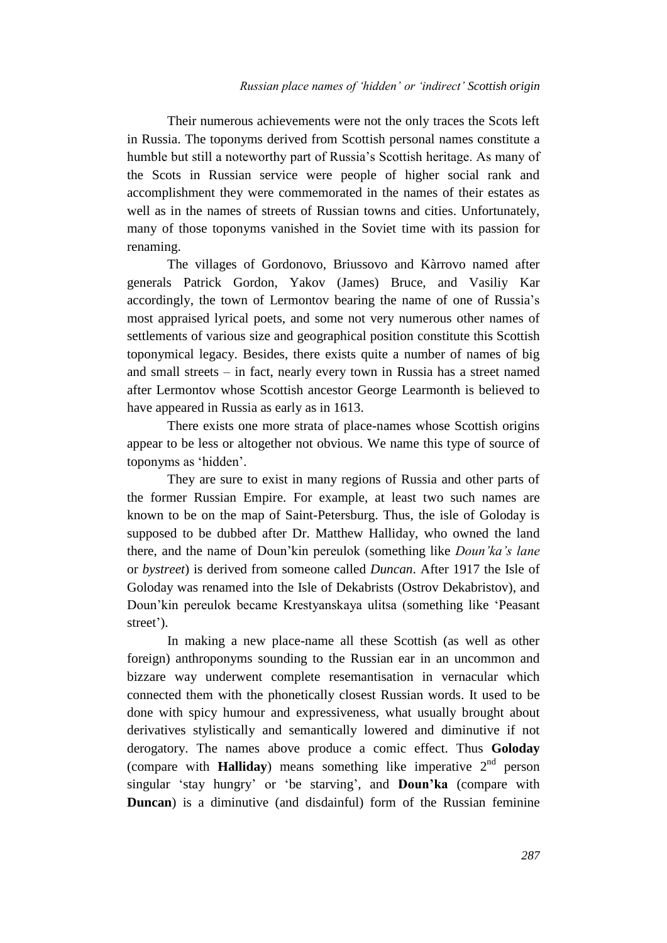Their numerous achievements were not the only traces the Scots left in Russia. The toponyms derived from Scottish personal names constitute a humble but still a noteworthy part of Russia's Scottish heritage. As many of the Scots in Russian service were people of higher social rank and accomplishment they were commemorated in the names of their estates as well as in the names of streets of Russian towns and cities. Unfortunately, many of those toponyms vanished in the Soviet time with its passion for renaming.

The villages of Gordonovo, Briussovo and Kàrrovo named after generals Patrick Gordon, Yakov (James) Bruce, and Vasiliy Kar accordingly, the town of Lermontov bearing the name of one of Russia's most appraised lyrical poets, and some not very numerous other names of settlements of various size and geographical position constitute this Scottish toponymical legacy. Besides, there exists quite a number of names of big and small streets – in fact, nearly every town in Russia has a street named after Lermontov whose Scottish ancestor George Learmonth is believed to have appeared in Russia as early as in 1613.

There exists one more strata of place-names whose Scottish origins appear to be less or altogether not obvious. We name this type of source of toponyms as 'hidden'.

They are sure to exist in many regions of Russia and other parts of the former Russian Empire. For example, at least two such names are known to be on the map of Saint-Petersburg. Thus, the isle of Goloday is supposed to be dubbed after Dr. Matthew Halliday, who owned the land there, and the name of Doun'kin pereulok (something like *Doun'ka's lane* or *bystreet*) is derived from someone called *Duncan*. After 1917 the Isle of Goloday was renamed into the Isle of Dekabrists (Ostrov Dekabristov), and Doun'kin pereulok became Krestyanskaya ulitsa (something like 'Peasant street').

In making a new place-name all these Scottish (as well as other foreign) anthroponyms sounding to the Russian ear in an uncommon and bizzare way underwent complete resemantisation in vernacular which connected them with the phonetically closest Russian words. It used to be done with spicy humour and expressiveness, what usually brought about derivatives stylistically and semantically lowered and diminutive if not derogatory. The names above produce a comic effect. Thus **Goloday** (compare with **Halliday**) means something like imperative  $2<sup>nd</sup>$  person singular 'stay hungry' or 'be starving', and **Doun'ka** (compare with **Duncan**) is a diminutive (and disdainful) form of the Russian feminine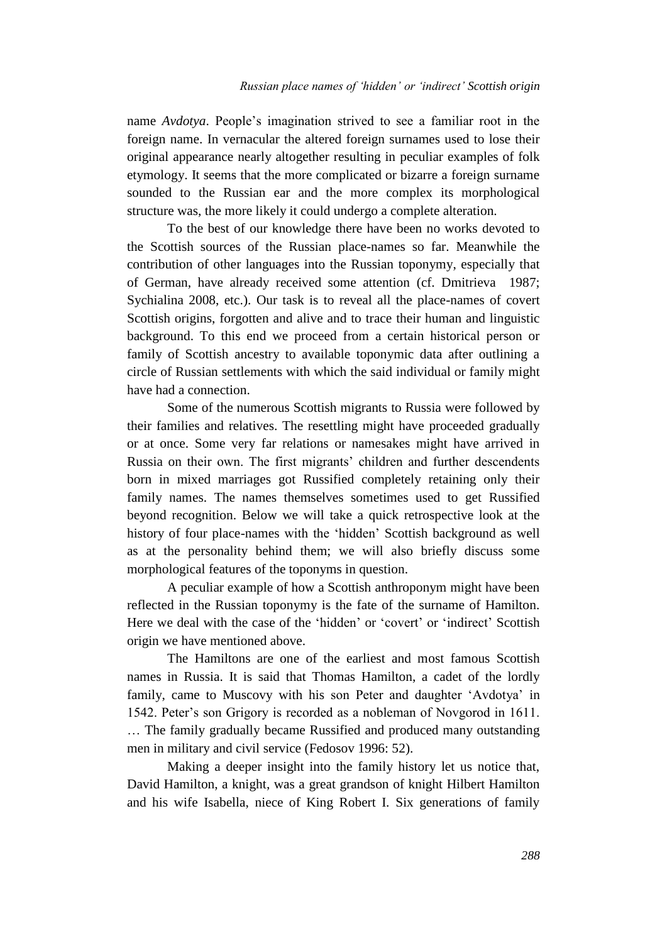name *Avdotya*. People's imagination strived to see a familiar root in the foreign name. In vernacular the altered foreign surnames used to lose their original appearance nearly altogether resulting in peculiar examples of folk etymology. It seems that the more complicated or bizarre a foreign surname sounded to the Russian ear and the more complex its morphological structure was, the more likely it could undergo a complete alteration.

To the best of our knowledge there have been no works devoted to the Scottish sources of the Russian place-names so far. Meanwhile the contribution of other languages into the Russian toponymy, especially that of German, have already received some attention (cf. Dmitrieva 1987; Sychialina 2008, etc.). Our task is to reveal all the place-names of covert Scottish origins, forgotten and alive and to trace their human and linguistic background. To this end we proceed from a certain historical person or family of Scottish ancestry to available toponymic data after outlining a circle of Russian settlements with which the said individual or family might have had a connection.

Some of the numerous Scottish migrants to Russia were followed by their families and relatives. The resettling might have proceeded gradually or at once. Some very far relations or namesakes might have arrived in Russia on their own. The first migrants' children and further descendents born in mixed marriages got Russified completely retaining only their family names. The names themselves sometimes used to get Russified beyond recognition. Below we will take a quick retrospective look at the history of four place-names with the 'hidden' Scottish background as well as at the personality behind them; we will also briefly discuss some morphological features of the toponyms in question.

A peculiar example of how a Scottish anthroponym might have been reflected in the Russian toponymy is the fate of the surname of Hamilton. Here we deal with the case of the 'hidden' or 'covert' or 'indirect' Scottish origin we have mentioned above.

The Hamiltons are one of the earliest and most famous Scottish names in Russia. It is said that Thomas Hamilton, a cadet of the lordly family, came to Muscovy with his son Peter and daughter 'Avdotya' in 1542. Peter's son Grigory is recorded as a nobleman of Novgorod in 1611. … The family gradually became Russified and produced many outstanding men in military and civil service (Fedosov 1996: 52).

Making a deeper insight into the family history let us notice that, David Hamilton, a knight, was a great grandson of knight Hilbert Hamilton and his wife Isabella, niece of King Robert I. Six generations of family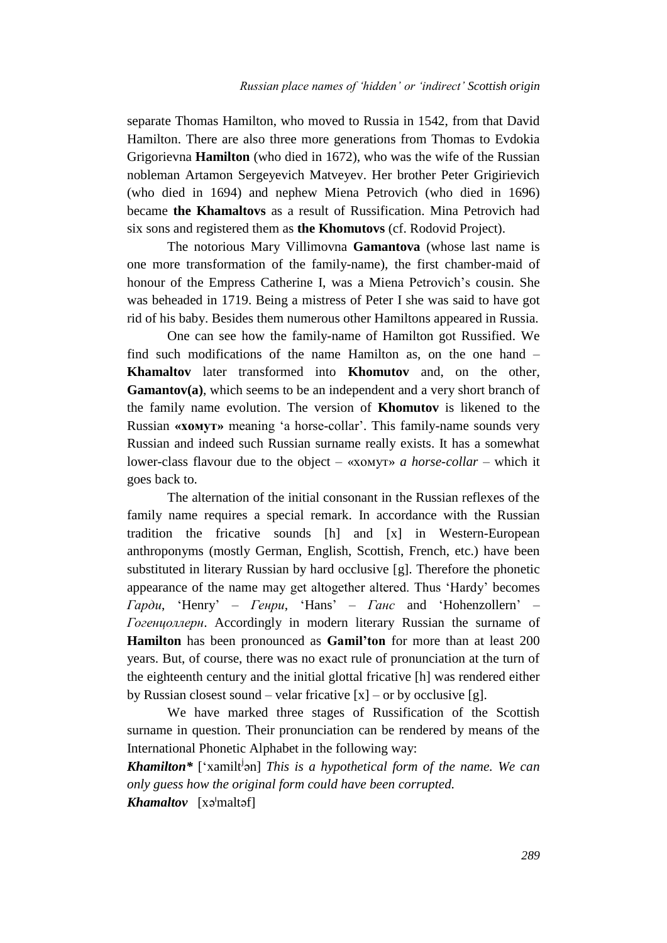separate Thomas Hamilton, who moved to Russia in 1542, from that David Hamilton. There are also three more generations from Thomas to Evdokia Grigorievna **Hamilton** (who died in 1672), who was the wife of the Russian nobleman Artamon Sergeyevich Matveyev. Her brother Peter Grigirievich (who died in 1694) and nephew Miena Petrovich (who died in 1696) became **the Khamaltovs** as a result of Russification. Mina Petrovich had six sons and registered them as **the Khomutovs** (cf. Rodovid Project).

The notorious Mary Villimovna **Gamantova** (whose last name is one more transformation of the family-name), the first chamber-maid of honour of the Empress Catherine I, was a Miena Petrovich's cousin. She was beheaded in 1719. Being a mistress of Peter I she was said to have got rid of his baby. Besides them numerous other Hamiltons appeared in Russia.

One can see how the family-name of Hamilton got Russified. We find such modifications of the name Hamilton as, on the one hand – **Khamaltov** later transformed into **Khomutov** and, on the other, **Gamantov(a)**, which seems to be an independent and a very short branch of the family name evolution. The version of **Khomutov** is likened to the Russian **«хомут»** meaning 'a horse-collar'. This family-name sounds very Russian and indeed such Russian surname really exists. It has a somewhat lower-class flavour due to the object – «хомут» *a horse-collar –* which it goes back to.

The alternation of the initial consonant in the Russian reflexes of the family name requires a special remark. In accordance with the Russian tradition the fricative sounds [h] and [x] in Western-European anthroponyms (mostly German, English, Scottish, French, etc.) have been substituted in literary Russian by hard occlusive [g]. Therefore the phonetic appearance of the name may get altogether altered. Thus 'Hardy' becomes *Гарди*, 'Henry' – *Генри*, 'Hans' – *Ганс* and 'Hohenzollern' – *Гогенцоллерн*. Accordingly in modern literary Russian the surname of **Hamilton** has been pronounced as **Gamil'ton** for more than at least 200 years. But, of course, there was no exact rule of pronunciation at the turn of the eighteenth century and the initial glottal fricative [h] was rendered either by Russian closest sound – velar fricative  $[x]$  – or by occlusive [g].

We have marked three stages of Russification of the Scottish surname in question. Their pronunciation can be rendered by means of the International Phonetic Alphabet in the following way:

*Khamilton\** ['xamilt<sup>j</sup>an] *This is a hypothetical form of the name. We can only guess how the original form could have been corrupted.*

*Khamaltov* [xəˡmaltəf]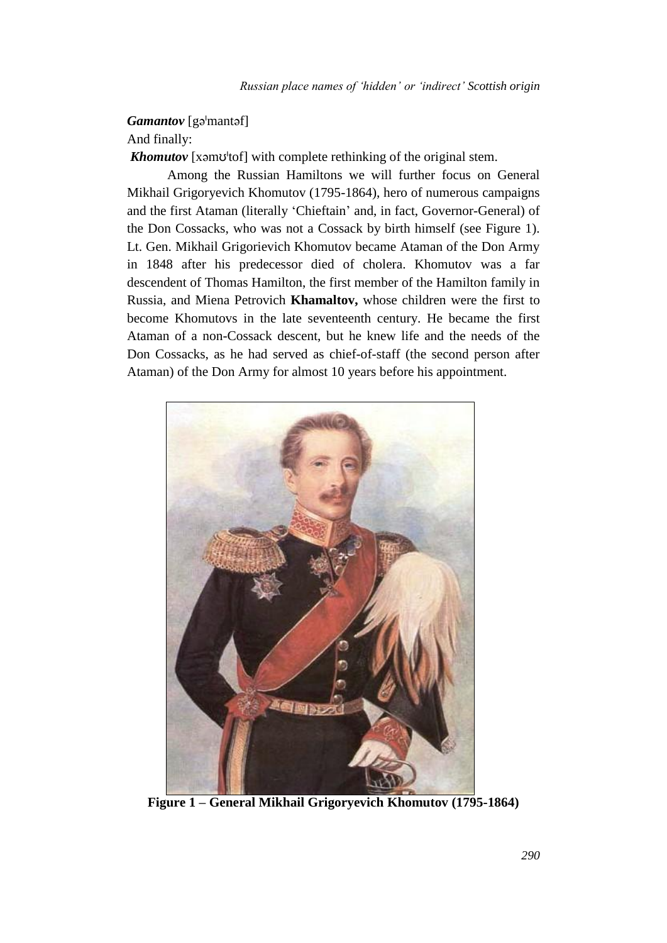*Gamantov* [gə<sup>*mant*əf]</sup>

And finally:

*Khomutov* [xəmʊ<sup>ltof]</sup> with complete rethinking of the original stem.

Among the Russian Hamiltons we will further focus on General Mikhail Grigoryevich Khomutov (1795-1864), hero of numerous campaigns and the first Ataman (literally 'Chieftain' and, in fact, Governor-General) of the Don Cossacks, who was not a Cossack by birth himself (see Figure 1). Lt. Gen. Mikhail Grigorievich Khomutov became Ataman of the Don Army in 1848 after his predecessor died of cholera. Khomutov was a far descendent of Thomas Hamilton, the first member of the Hamilton family in Russia, and Miena Petrovich **Khamaltov,** whose children were the first to become Khomutovs in the late seventeenth century. He became the first Ataman of a non-Cossack descent, but he knew life and the needs of the Don Cossacks, as he had served as chief-of-staff (the second person after Ataman) of the Don Army for almost 10 years before his appointment.



**Figure 1 – General Mikhail Grigoryevich Khomutov (1795-1864)**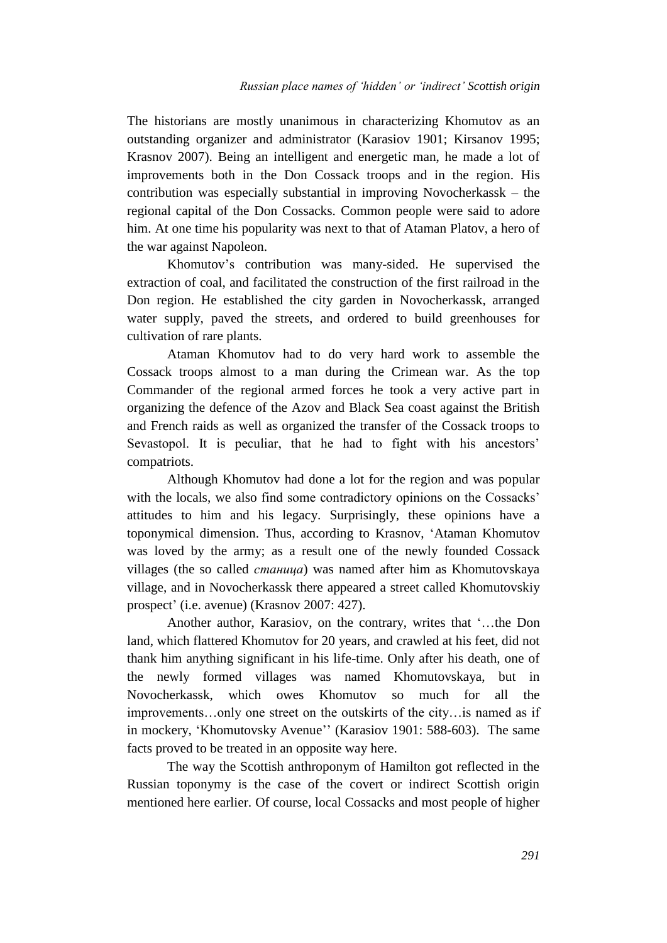The historians are mostly unanimous in characterizing Khomutov as an outstanding organizer and administrator (Karasiov 1901; Kirsanov 1995; Krasnov 2007). Being an intelligent and energetic man, he made a lot of improvements both in the Don Cossack troops and in the region. His contribution was especially substantial in improving Novocherkassk – the regional capital of the Don Cossacks. Common people were said to adore him. At one time his popularity was next to that of Ataman Platov, a hero of the war against Napoleon.

Khomutov's contribution was many-sided. He supervised the extraction of coal, and facilitated the construction of the first railroad in the Don region. He established the city garden in Novocherkassk, arranged water supply, paved the streets, and ordered to build greenhouses for cultivation of rare plants.

Ataman Khomutov had to do very hard work to assemble the Cossack troops almost to a man during the Crimean war. As the top Commander of the regional armed forces he took a very active part in organizing the defence of the Azov and Black Sea coast against the British and French raids as well as organized the transfer of the Cossack troops to Sevastopol. It is peculiar, that he had to fight with his ancestors' compatriots.

Although Khomutov had done a lot for the region and was popular with the locals, we also find some contradictory opinions on the Cossacks' attitudes to him and his legacy. Surprisingly, these opinions have a toponymical dimension. Thus, according to Krasnov, 'Ataman Khomutov was loved by the army; as a result one of the newly founded Cossack villages (the so called *станица*) was named after him as Khomutovskaya village, and in Novocherkassk there appeared a street called Khomutovskiy prospect' (i.e. avenue) (Krasnov 2007: 427).

Another author, Karasiov, on the contrary, writes that '…the Don land, which flattered Khomutov for 20 years, and crawled at his feet, did not thank him anything significant in his life-time. Only after his death, one of the newly formed villages was named Khomutovskaya, but in Novocherkassk, which owes Khomutov so much for all the improvements…only one street on the outskirts of the city…is named as if in mockery, 'Khomutovsky Avenue'' (Karasiov 1901: 588-603). The same facts proved to be treated in an opposite way here.

The way the Scottish anthroponym of Hamilton got reflected in the Russian toponymy is the case of the covert or indirect Scottish origin mentioned here earlier. Of course, local Cossacks and most people of higher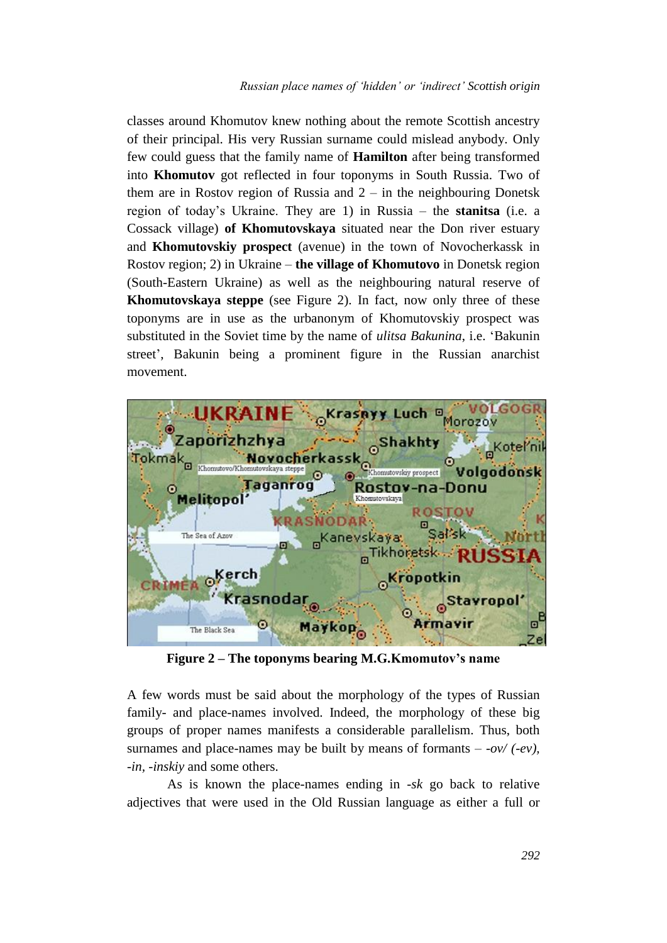classes around Khomutov knew nothing about the remote Scottish ancestry of their principal. His very Russian surname could mislead anybody. Only few could guess that the family name of **Hamilton** after being transformed into **Khomutov** got reflected in four toponyms in South Russia. Two of them are in Rostov region of Russia and  $2 -$  in the neighbouring Donetsk region of today's Ukraine. They are 1) in Russia – the **stanitsa** (i.e. a Cossack village) **of Khomutovskaya** situated near the Don river estuary and **Khomutovskiy prospect** (avenue) in the town of Novocherkassk in Rostov region; 2) in Ukraine – **the village of Khomutovo** in Donetsk region (South-Eastern Ukraine) as well as the neighbouring natural reserve of **Khomutovskaya steppe** (see Figure 2). In fact, now only three of these toponyms are in use as the urbanonym of Khomutovskiy prospect was substituted in the Soviet time by the name of *ulitsa Bakunina*, i.e. 'Bakunin street', Bakunin being a prominent figure in the Russian anarchist movement.



**Figure 2 – The toponyms bearing M.G.Kmomutov's name**

A few words must be said about the morphology of the types of Russian family- and place-names involved. Indeed, the morphology of these big groups of proper names manifests a considerable parallelism. Thus, both surnames and place-names may be built by means of formants  $-$  *-ov/ (-ev)*, *-in, -inskiy* and some others.

As is known the place-names ending in *-sk* go back to relative adjectives that were used in the Old Russian language as either a full or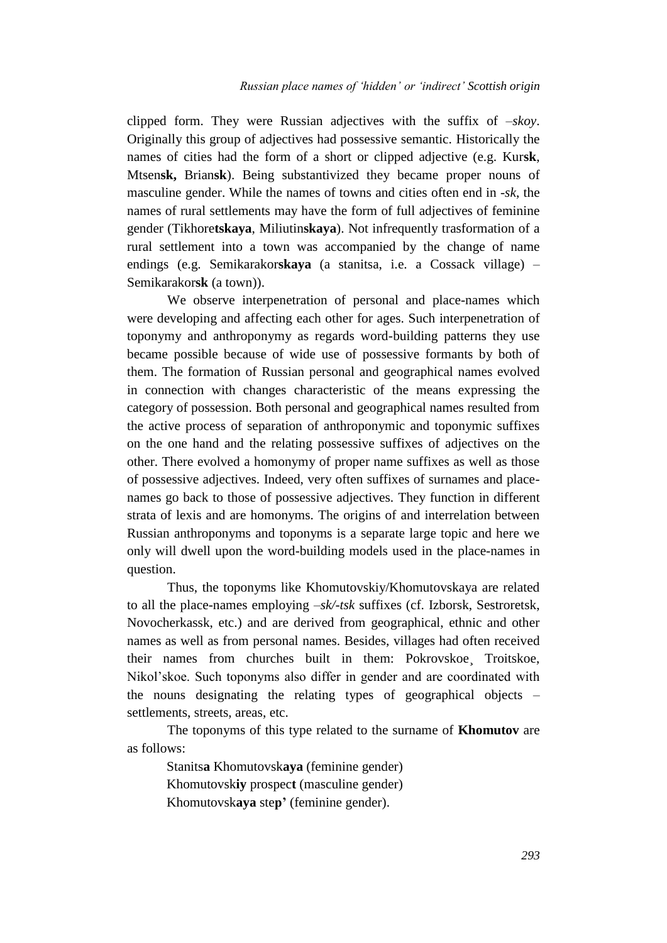clipped form. They were Russian adjectives with the suffix of *–skoy*. Originally this group of adjectives had possessive semantic. Historically the names of cities had the form of a short or clipped adjective (e.g. Kur**sk**, Mtsen**sk,** Brian**sk**). Being substantivized they became proper nouns of masculine gender. While the names of towns and cities often end in *-sk*, the names of rural settlements may have the form of full adjectives of feminine gender (Tikhore**tskaya**, Miliutin**skaya**). Not infrequently trasformation of a rural settlement into a town was accompanied by the change of name endings (e.g. Semikarakor**skaya** (a stanitsa, i.e. a Cossack village) – Semikarakor**sk** (a town)).

We observe interpenetration of personal and place-names which were developing and affecting each other for ages. Such interpenetration of toponymy and anthroponymy as regards word-building patterns they use became possible because of wide use of possessive formants by both of them. The formation of Russian personal and geographical names evolved in connection with changes characteristic of the means expressing the category of possession. Both personal and geographical names resulted from the active process of separation of anthroponymic and toponymic suffixes on the one hand and the relating possessive suffixes of adjectives on the other. There evolved a homonymy of proper name suffixes as well as those of possessive adjectives. Indeed, very often suffixes of surnames and placenames go back to those of possessive adjectives. They function in different strata of lexis and are homonyms. The origins of and interrelation between Russian anthroponyms and toponyms is a separate large topic and here we only will dwell upon the word-building models used in the place-names in question.

Thus, the toponyms like Khomutovskiy/Khomutovskaya are related to all the place-names employing *–sk/-tsk* suffixes (cf. Izborsk, Sestroretsk, Novocherkassk, etc.) and are derived from geographical, ethnic and other names as well as from personal names. Besides, villages had often received their names from churches built in them: Pokrovskoe¸ Troitskoe, Nikol'skoe. Such toponyms also differ in gender and are coordinated with the nouns designating the relating types of geographical objects – settlements, streets, areas, etc.

The toponyms of this type related to the surname of **Khomutov** are as follows:

Stanits**a** Khomutovsk**aya** (feminine gender) Khomutovsk**iy** prospec**t** (masculine gender) Khomutovsk**aya** ste**p'** (feminine gender).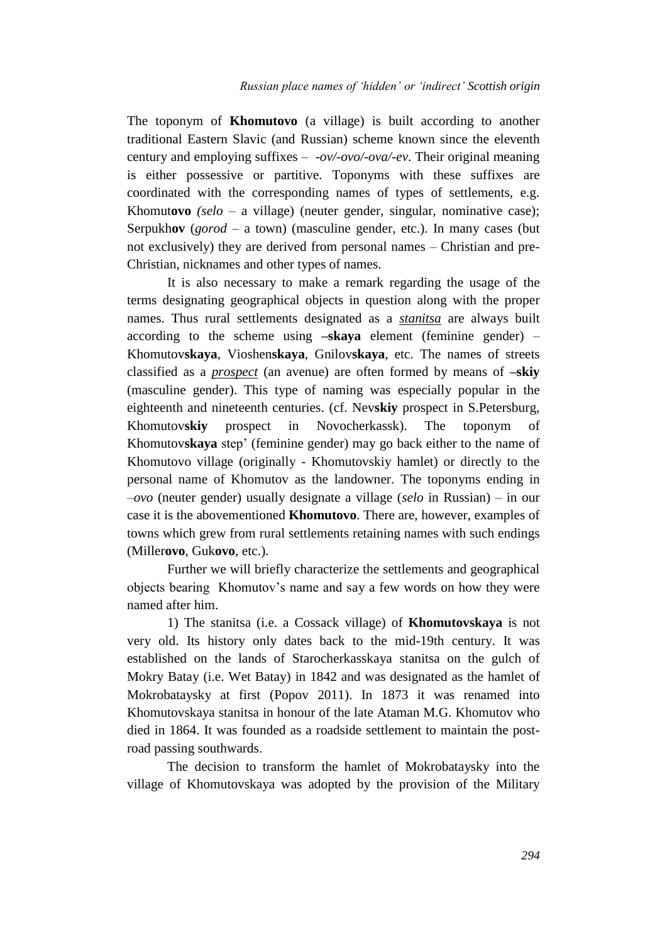The toponym of **Khomutovo** (a village) is built according to another traditional Eastern Slavic (and Russian) scheme known since the eleventh century and employing suffixes – *-ov/-ovo/-ova/-ev*. Their original meaning is either possessive or partitive. Toponyms with these suffixes are coordinated with the corresponding names of types of settlements, e.g. Khomut**ovo** *(selo –* a village) (neuter gender, singular, nominative case); Serpukh**ov** (*gorod* – a town) (masculine gender, etc.). In many cases (but not exclusively) they are derived from personal names – Christian and pre-Christian, nicknames and other types of names.

It is also necessary to make a remark regarding the usage of the terms designating geographical objects in question along with the proper names. Thus rural settlements designated as a *stanitsa* are always built according to the scheme using **–skaya** element (feminine gender) – Khomutov**skaya**, Vioshen**skaya**, Gnilov**skaya**, etc. The names of streets classified as a *prospect* (an avenue) are often formed by means of **–skiy** (masculine gender). This type of naming was especially popular in the eighteenth and nineteenth centuries. (cf. Nev**skiy** prospect in S.Petersburg, Khomutov**skiy** prospect in Novocherkassk). The toponym of Khomutov**skaya** step' (feminine gender) may go back either to the name of Khomutovo village (originally - Khomutovskiy hamlet) or directly to the personal name of Khomutov as the landowner. The toponyms ending in *–ovo* (neuter gender) usually designate a village (*selo* in Russian) – in our case it is the abovementioned **Khomutovo**. There are, however, examples of towns which grew from rural settlements retaining names with such endings (Miller**ovo**, Guk**ovo**, etc.).

Further we will briefly characterize the settlements and geographical objects bearing Khomutov's name and say a few words on how they were named after him.

1) The stanitsa (i.e. a Cossack village) of **Khomutovskaya** is not very old. Its history only dates back to the mid-19th century. It was established on the lands of Starocherkasskaya stanitsa on the gulch of Mokry Batay (i.e. Wet Batay) in 1842 and was designated as the hamlet of Mokrobataysky at first (Popov 2011). In 1873 it was renamed into Khomutovskaya stanitsa in honour of the late Ataman M.G. Khomutov who died in 1864. It was founded as a roadside settlement to maintain the postroad passing southwards.

The decision to transform the hamlet of Mokrobataysky into the village of Khomutovskaya was adopted by the provision of the Military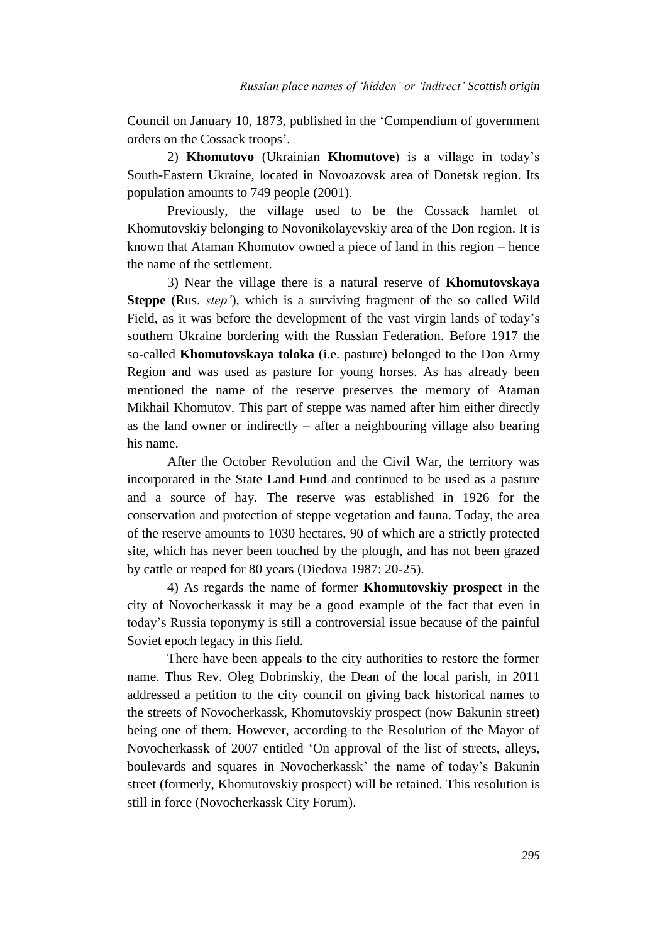Council on January 10, 1873, published in the 'Compendium of government orders on the Cossack troops'.

2) **Khomutovo** (Ukrainian **Khomutove**) is a village in today's South-Eastern Ukraine, located in Novoazovsk area of Donetsk region. Its population amounts to 749 people (2001).

Previously, the village used to be the Cossack hamlet of Khomutovskiy belonging to Novonikolayevskiy area of the Don region. It is known that Ataman Khomutov owned a piece of land in this region – hence the name of the settlement.

3) Near the village there is a natural reserve of **Khomutovskaya Steppe** (Rus. *step'*), which is a surviving fragment of the so called Wild Field, as it was before the development of the vast virgin lands of today's southern Ukraine bordering with the Russian Federation. Before 1917 the so-called **Khomutovskaya toloka** (i.e. pasture) belonged to the Don Army Region and was used as pasture for young horses. As has already been mentioned the name of the reserve preserves the memory of Ataman Mikhail Khomutov. This part of steppe was named after him either directly as the land owner or indirectly – after a neighbouring village also bearing his name.

After the October Revolution and the Civil War, the territory was incorporated in the State Land Fund and continued to be used as a pasture and a source of hay. The reserve was established in 1926 for the conservation and protection of steppe vegetation and fauna. Today, the area of the reserve amounts to 1030 hectares, 90 of which are a strictly protected site, which has never been touched by the plough, and has not been grazed by cattle or reaped for 80 years (Diedova 1987: 20-25).

4) As regards the name of former **Khomutovskiy prospect** in the city of Novocherkassk it may be a good example of the fact that even in today's Russia toponymy is still a controversial issue because of the painful Soviet epoch legacy in this field.

There have been appeals to the city authorities to restore the former name. Thus Rev. Oleg Dobrinskiy, the Dean of the local parish, in 2011 addressed a petition to the city council on giving back historical names to the streets of Novocherkassk, Khomutovskiy prospect (now Bakunin street) being one of them. However, according to the Resolution of the Mayor of Novocherkassk of 2007 entitled 'On approval of the list of streets, alleys, boulevards and squares in Novocherkassk' the name of today's Bakunin street (formerly, Khomutovskiy prospect) will be retained. This resolution is still in force (Novocherkassk City Forum).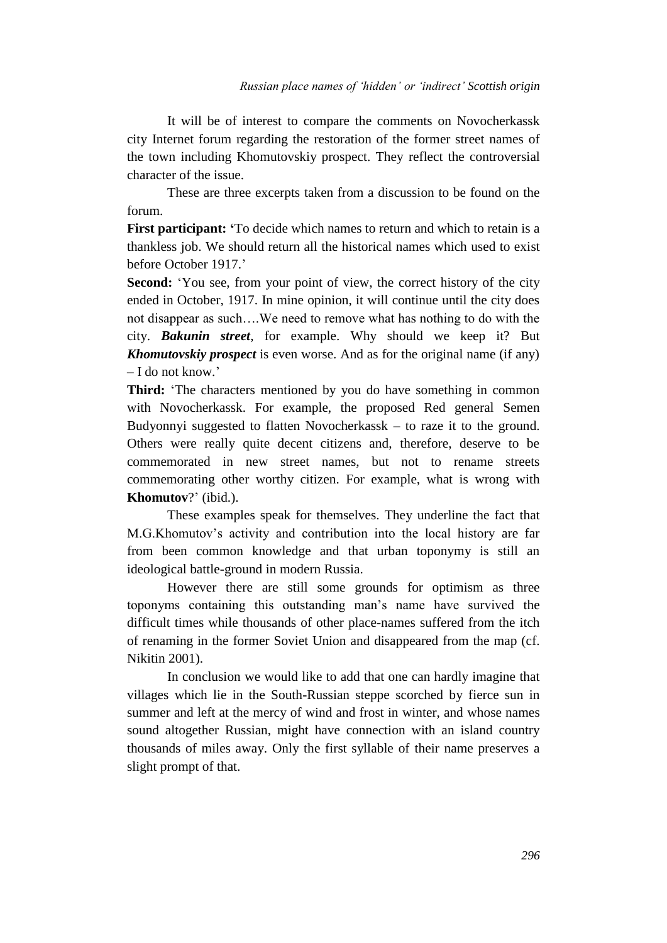It will be of interest to compare the comments on Novocherkassk city Internet forum regarding the restoration of the former street names of the town including Khomutovskiy prospect. They reflect the controversial character of the issue.

These are three excerpts taken from a discussion to be found on the forum.

**First participant: '**To decide which names to return and which to retain is a thankless job. We should return all the historical names which used to exist before October 1917.'

**Second:** 'You see, from your point of view, the correct history of the city ended in October, 1917. In mine opinion, it will continue until the city does not disappear as such….We need to remove what has nothing to do with the city. *Bakunin street*, for example. Why should we keep it? But *Khomutovskiy prospect* is even worse. And as for the original name (if any) – I do not know.'

**Third:** 'The characters mentioned by you do have something in common with Novocherkassk. For example, the proposed Red general Semen Budyonnyi suggested to flatten Novocherkassk – to raze it to the ground. Others were really quite decent citizens and, therefore, deserve to be commemorated in new street names, but not to rename streets commemorating other worthy citizen. For example, what is wrong with **Khomutov**?' (ibid.).

These examples speak for themselves. They underline the fact that M.G.Khomutov's activity and contribution into the local history are far from been common knowledge and that urban toponymy is still an ideological battle-ground in modern Russia.

However there are still some grounds for optimism as three toponyms containing this outstanding man's name have survived the difficult times while thousands of other place-names suffered from the itch of renaming in the former Soviet Union and disappeared from the map (cf. Nikitin 2001).

In conclusion we would like to add that one can hardly imagine that villages which lie in the South-Russian steppe scorched by fierce sun in summer and left at the mercy of wind and frost in winter, and whose names sound altogether Russian, might have connection with an island country thousands of miles away. Only the first syllable of their name preserves a slight prompt of that.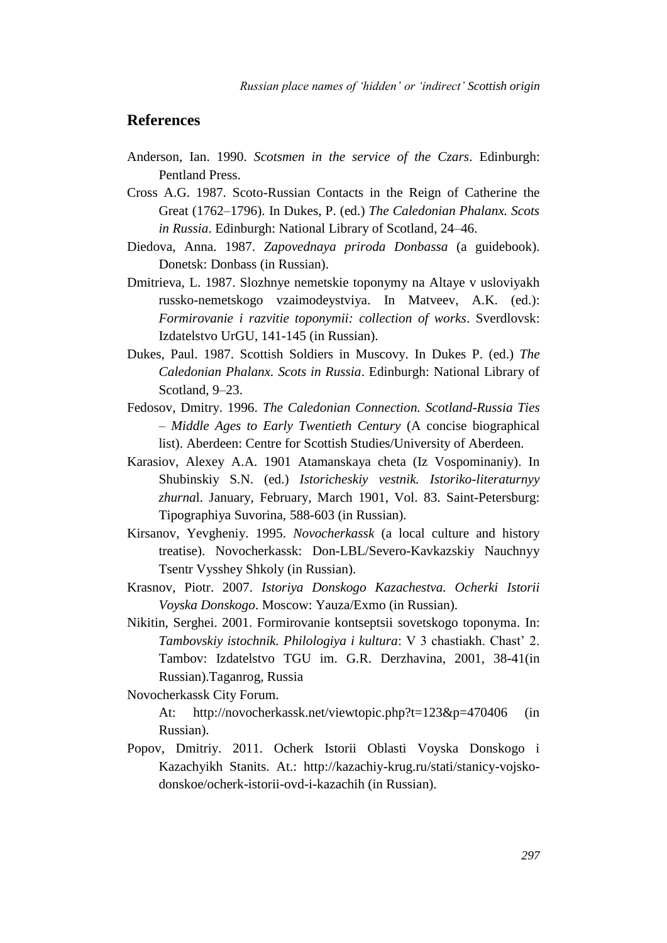## **References**

- Anderson, Ian. 1990. *Scotsmen in the service of the Czars*. Edinburgh: Pentland Press.
- Cross A.G. 1987. Scoto-Russian Contacts in the Reign of Catherine the Great (1762–1796). In Dukes, P. (ed.) *The Caledonian Phalanx. Scots in Russia*. Edinburgh: National Library of Scotland, 24–46.
- Diedova, Anna. 1987. *Zapovednaya priroda Donbassa* (a guidebook). Donetsk: Donbass (in Russian).
- Dmitrieva, L. 1987. Slozhnye nemetskie toponymy na Altaye v usloviyakh russko-nemetskogo vzaimodeystviya. In Matveev, A.K. (ed.): *Formirovanie i razvitie toponymii: collection of works*. Sverdlovsk: Izdatelstvo UrGU, 141-145 (in Russian).
- Dukes, Paul. 1987. Scottish Soldiers in Muscovy. In Dukes P. (ed.) *The Caledonian Phalanx. Scots in Russia*. Edinburgh: National Library of Scotland, 9–23.
- Fedosov, Dmitry. 1996. *The Caledonian Connection. Scotland-Russia Ties – Middle Ages to Early Twentieth Century* (A concise biographical list). Aberdeen: Centre for Scottish Studies/University of Aberdeen.
- Karasiov, Alexey A.A. 1901 Atamanskaya cheta (Iz Vospominaniy). In Shubinskiy S.N. (ed.) *Istoricheskiy vestnik. Istoriko-literaturnyy zhurna*l. January, February, March 1901, Vol. 83. Saint-Petersburg: Tipographiya Suvorina, 588-603 (in Russian).
- Kirsanov, Yevgheniy. 1995. *Novocherkassk* (a local culture and history treatise). Novocherkassk: Don-LBL/Severo-Kavkazskiy Nauchnyy Tsentr Vysshey Shkoly (in Russian).
- Krasnov, Piotr. 2007. *Istoriya Donskogo Kazachestva. Ocherki Istorii Voyska Donskogo*. Moscow: Yauza/Exmo (in Russian).
- Nikitin, Serghei. 2001. Formirovanie kontseptsii sovetskogo toponyma. In: *Tambovskiy istochnik. Philologiya i kultura*: V 3 chastiakh. Chast' 2. Tambov: Izdatelstvo TGU im. G.R. Derzhavina, 2001, 38-41(in Russian).Taganrog, Russia

Novocherkassk City Forum.

At: http://novocherkassk.net/viewtopic.php?t=123&p=470406 (in Russian).

Popov, Dmitriy. 2011. Ocherk Istorii Oblasti Voyska Donskogo i Kazachyikh Stanits. At.: http://kazachiy-krug.ru/stati/stanicy-vojskodonskoe/ocherk-istorii-ovd-i-kazachih (in Russian).